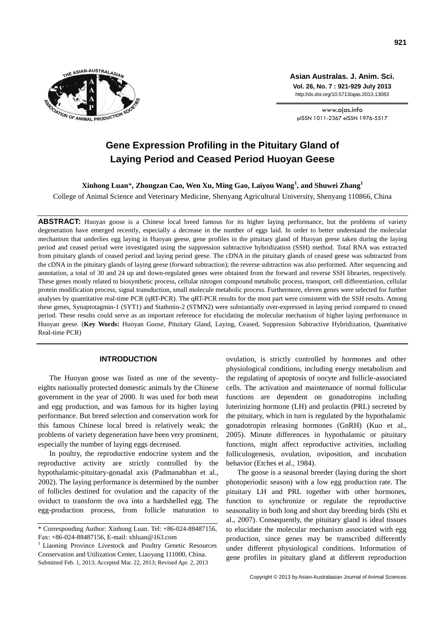

**Asian Australas. J. Anim. Sci. Vol. 26, No. 7 : 921-929 July 2013** http://dx.doi.org/10.5713/ajas.2013.13083

www.ajas.info pISSN 1011-2367 eISSN 1976-5517

# **Gene Expression Profiling in the Pituitary Gland of Laying Period and Ceased Period Huoyan Geese**

**Xinhong Luan**\***, Zhongzan Cao, Wen Xu, Ming Gao, Laiyou Wang<sup>1</sup> , and Shuwei Zhang<sup>1</sup>**

College of Animal Science and Veterinary Medicine, Shenyang Agricultural University, Shenyang 110866, China

ABSTRACT: Huoyan goose is a Chinese local breed famous for its higher laying performance, but the problems of variety degeneration have emerged recently, especially a decrease in the number of eggs laid. In order to better understand the molecular mechanism that underlies egg laying in Huoyan geese, gene profiles in the pituitary gland of Huoyan geese taken during the laying period and ceased period were investigated using the suppression subtractive hybridization (SSH) method. Total RNA was extracted from pituitary glands of ceased period and laying period geese. The cDNA in the pituitary glands of ceased geese was subtracted from the cDNA in the pituitary glands of laying geese (forward subtraction); the reverse subtraction was also performed. After sequencing and annotation, a total of 30 and 24 up and down-regulated genes were obtained from the forward and reverse SSH libraries, respectively. These genes mostly related to biosynthetic process, cellular nitrogen compound metabolic process, transport, cell differentiation, cellular protein modification process, signal transduction, small molecule metabolic process. Furthermore, eleven genes were selected for further analyses by quantitative real-time PCR (qRT-PCR). The qRT-PCR results for the most part were consistent with the SSH results. Among these genes, Synaptotagmin-1 (SYT1) and Stathmin-2 (STMN2) were substantially over-expressed in laying period compared to ceased period. These results could serve as an important reference for elucidating the molecular mechanism of higher laying performance in Huoyan geese. (**Key Words:** Huoyan Goose, Pituitary Gland, Laying, Ceased, Suppression Subtractive Hybridization, Quantitative Real-time PCR)

## **INTRODUCTION**

The Huoyan goose was listed as one of the seventyeights nationally protected domestic animals by the Chinese government in the year of 2000. It was used for both meat and egg production, and was famous for its higher laying performance. But breed selection and conservation work for this famous Chinese local breed is relatively weak; the problems of variety degeneration have been very prominent, especially the number of laying eggs decreased.

In poultry, the reproductive endocrine system and the reproductive activity are strictly controlled by the hypothalamic-pituitary-gonadal axis (Padmanabhan et al., 2002). The laying performance is determined by the number of follicles destined for ovulation and the capacity of the oviduct to transform the ova into a hardshelled egg. The egg-production process, from follicle maturation to ovulation, is strictly controlled by hormones and other physiological conditions, including energy metabolism and the regulating of apoptosis of oocyte and follicle-associated cells. The activation and maintenance of normal follicular functions are dependent on gonadotropins including luterinizing hormone (LH) and prolactin (PRL) secreted by the pituitary, which in turn is regulated by the hypothalamic gonadotropin releasing hormones (GnRH) (Kuo et al., 2005). Minute differences in hypothalamic or pituitary functions, might affect reproductive activities, including folliculogenesis, ovulation, oviposition, and incubation behavior (Etches et al., 1984).

The goose is a seasonal breeder (laying during the short photoperiodic season) with a low egg production rate. The pituitary LH and PRL together with other hormones, function to synchronize or regulate the reproductive seasonality in both long and short day breeding birds (Shi et al., 2007). Consequently, the pituitary gland is ideal tissues to elucidate the molecular mechanism associated with egg production, since genes may be transcribed differently under different physiological conditions. Information of gene profiles in pituitary gland at different reproduction

<sup>\*</sup> Corresponding Author: Xinhong Luan. Tel: +86-024-88487156, Fax: +86-024-88487156, E-mail: xhluan@163.com

<sup>&</sup>lt;sup>1</sup> Liaoning Province Livestock and Poultry Genetic Resources Conservation and Utilization Center, Liaoyang 111000, China. Submitted Feb. 1, 2013; Accepted Mar. 22, 2013; Revised Apr. 2, 2013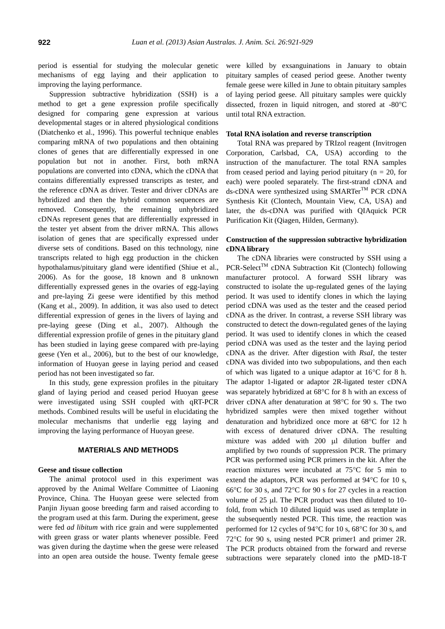period is essential for studying the molecular genetic mechanisms of egg laying and their application to improving the laying performance.

Suppression subtractive hybridization (SSH) is a method to get a gene expression profile specifically designed for comparing gene expression at various developmental stages or in altered physiological conditions (Diatchenko et al., 1996). This powerful technique enables comparing mRNA of two populations and then obtaining clones of genes that are differentially expressed in one population but not in another. First, both mRNA populations are converted into cDNA, which the cDNA that contains differentially expressed transcripts as tester, and the reference cDNA as driver. Tester and driver cDNAs are hybridized and then the hybrid common sequences are removed. Consequently, the remaining unhybridized cDNAs represent genes that are differentially expressed in the tester yet absent from the driver mRNA. This allows isolation of genes that are specifically expressed under diverse sets of conditions. Based on this technology, nine transcripts related to high egg production in the chicken hypothalamus/pituitary gland were identified (Shiue et al., 2006). As for the goose, 18 known and 8 unknown differentially expressed genes in the ovaries of egg-laying and pre-laying Zi geese were identified by this method (Kang et al., 2009). In addition, it was also used to detect differential expression of genes in the livers of laying and pre-laying geese (Ding et al., 2007). Although the differential expression profile of genes in the pituitary gland has been studied in laying geese compared with pre-laying geese (Yen et al., 2006), but to the best of our knowledge, information of Huoyan geese in laying period and ceased period has not been investigated so far.

In this study, gene expression profiles in the pituitary gland of laying period and ceased period Huoyan geese were investigated using SSH coupled with qRT-PCR methods. Combined results will be useful in elucidating the molecular mechanisms that underlie egg laying and improving the laying performance of Huoyan geese.

## **MATERIALS AND METHODS**

## **Geese and tissue collection**

The animal protocol used in this experiment was approved by the Animal Welfare Committee of Liaoning Province, China. The Huoyan geese were selected from Panjin Jiyuan goose breeding farm and raised according to the program used at this farm. During the experiment, geese were fed *ad libitum* with rice grain and were supplemented with green grass or water plants whenever possible. Feed was given during the daytime when the geese were released into an open area outside the house. Twenty female geese were killed by exsanguinations in January to obtain pituitary samples of ceased period geese. Another twenty female geese were killed in June to obtain pituitary samples of laying period geese. All pituitary samples were quickly dissected, frozen in liquid nitrogen, and stored at -80°C until total RNA extraction.

#### **Total RNA isolation and reverse transcription**

Total RNA was prepared by TRIzol reagent (Invitrogen Corporation, Carlsbad, CA, USA) according to the instruction of the manufacturer. The total RNA samples from ceased period and laying period pituitary ( $n = 20$ , for each) were pooled separately. The first-strand cDNA and ds-cDNA were synthesized using SMARTer<sup>™</sup> PCR cDNA Synthesis Kit (Clontech, Mountain View, CA, USA) and later, the ds-cDNA was purified with QIAquick PCR Purification Kit (Qiagen, Hilden, Germany).

# **Construction of the suppression subtractive hybridization cDNA library**

The cDNA libraries were constructed by SSH using a PCR-Select<sup>TM</sup> cDNA Subtraction Kit (Clontech) following manufacturer protocol. A forward SSH library was constructed to isolate the up-regulated genes of the laying period. It was used to identify clones in which the laying period cDNA was used as the tester and the ceased period cDNA as the driver. In contrast, a reverse SSH library was constructed to detect the down-regulated genes of the laying period. It was used to identify clones in which the ceased period cDNA was used as the tester and the laying period cDNA as the driver. After digestion with *RsaI*, the tester cDNA was divided into two subpopulations, and then each of which was ligated to a unique adaptor at  $16^{\circ}$ C for 8 h. The adaptor 1-ligated or adaptor 2R-ligated tester cDNA was separately hybridized at  $68^{\circ}$ C for 8 h with an excess of driver cDNA after denaturation at 98°C for 90 s. The two hybridized samples were then mixed together without denaturation and hybridized once more at  $68^{\circ}$ C for 12 h with excess of denatured driver cDNA. The resulting mixture was added with 200 µl dilution buffer and amplified by two rounds of suppression PCR. The primary PCR was performed using PCR primers in the kit. After the reaction mixtures were incubated at  $75^{\circ}$ C for 5 min to extend the adaptors, PCR was performed at  $94^{\circ}$ C for 10 s, 66 $\degree$ C for 30 s, and 72 $\degree$ C for 90 s for 27 cycles in a reaction volume of  $25$  µl. The PCR product was then diluted to 10fold, from which 10 diluted liquid was used as template in the subsequently nested PCR. This time, the reaction was performed for 12 cycles of  $94^{\circ}$ C for 10 s,  $68^{\circ}$ C for 30 s, and  $72^{\circ}$ C for 90 s, using nested PCR primer1 and primer 2R. The PCR products obtained from the forward and reverse subtractions were separately cloned into the pMD-18-T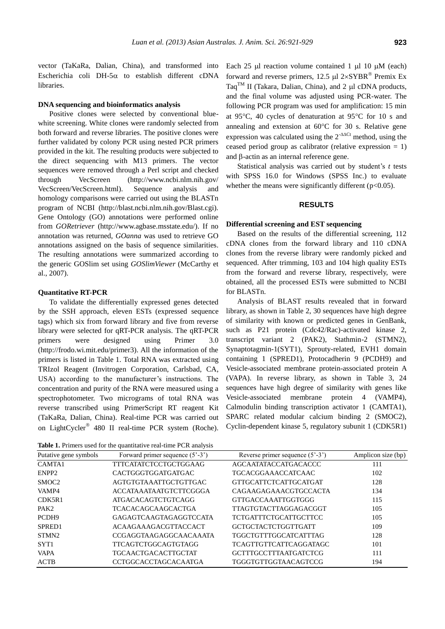vector (TaKaRa, Dalian, China), and transformed into Escherichia coli DH-5 $\alpha$  to establish different cDNA libraries.

#### **DNA sequencing and bioinformatics analysis**

Positive clones were selected by conventional bluewhite screening. White clones were randomly selected from both forward and reverse libraries. The positive clones were further validated by colony PCR using nested PCR primers provided in the kit. The resulting products were subjected to the direct sequencing with M13 primers. The vector sequences were removed through a Perl script and checked through VecScreen (http://www.ncbi.nlm.nih.gov/ VecScreen/VecScreen.html). Sequence analysis and homology comparisons were carried out using the BLASTn program of NCBI (http://blast.ncbi.nlm.nih.gov/Blast.cgi). Gene Ontology (GO) annotations were performed online from *GORetriever* (http://www.agbase.msstate.edu/). If no annotation was returned, *GOanna* was used to retrieve GO annotations assigned on the basis of sequence similarities. The resulting annotations were summarized according to the generic GOSlim set using *GOSlimViewer* (McCarthy et al., 2007).

### **Quantitative RT-PCR**

To validate the differentially expressed genes detected by the SSH approach, eleven ESTs (expressed sequence tags) which six from forward library and five from reverse library were selected for qRT-PCR analysis. The qRT-PCR primers were designed using Primer 3.0 (http://frodo.wi.mit.edu/primer3). All the information of the primers is listed in Table 1. Total RNA was extracted using TRIzol Reagent (Invitrogen Corporation, Carlsbad, CA, USA) according to the manufacturer's instructions. The concentration and purity of the RNA were measured using a spectrophotometer. Two micrograms of total RNA was reverse transcribed using PrimerScript RT reagent Kit (TaKaRa, Dalian, China). Real-time PCR was carried out on LightCycler<sup>®</sup> 480 II real-time PCR system (Roche).

**Table 1.** Primers used for the quantitative real-time PCR analysis

Each 25  $\mu$ l reaction volume contained 1  $\mu$ l 10  $\mu$ M (each) forward and reverse primers,  $12.5 \mu l$   $2 \times SYBR$ <sup>®</sup> Premix Ex Taq<sup>TM</sup> II (Takara, Dalian, China), and 2  $\mu$ l cDNA products, and the final volume was adjusted using PCR-water. The following PCR program was used for amplification: 15 min at 95 $\degree$ C, 40 cycles of denaturation at 95 $\degree$ C for 10 s and annealing and extension at  $60^{\circ}$ C for 30 s. Relative gene expression was calculated using the  $2^{-\Delta\Delta Ct}$  method, using the ceased period group as calibrator (relative expression  $= 1$ ) and  $\beta$ -actin as an internal reference gene.

Statistical analysis was carried out by student's *t* tests with SPSS 16.0 for Windows (SPSS Inc.) to evaluate whether the means were significantly different ( $p<0.05$ ).

#### **RESULTS**

## **Differential screening and EST sequencing**

Based on the results of the differential screening, 112 cDNA clones from the forward library and 110 cDNA clones from the reverse library were randomly picked and sequenced. After trimming, 103 and 104 high quality ESTs from the forward and reverse library, respectively, were obtained, all the processed ESTs were submitted to NCBI for BLASTn.

Analysis of BLAST results revealed that in forward library, as shown in Table 2, 30 sequences have high degree of similarity with known or predicted genes in GenBank, such as P21 protein (Cdc42/Rac)-activated kinase 2, transcript variant 2 (PAK2), Stathmin-2 (STMN2), Synaptotagmin-1(SYT1), Sprouty-related, EVH1 domain containing 1 (SPRED1), Protocadherin 9 (PCDH9) and Vesicle-associated membrane protein-associated protein A (VAPA). In reverse library, as shown in Table 3, 24 sequences have high degree of similarity with genes like Vesicle-associated membrane protein 4 (VAMP4), Calmodulin binding transcription activator 1 (CAMTA1), SPARC related modular calcium binding 2 (SMOC2), Cyclin-dependent kinase 5, regulatory subunit 1 (CDK5R1)

| Putative gene symbols | Forward primer sequence $(5^{\circ}-3^{\circ})$ | Reverse primer sequence $(5^{\circ}-3^{\circ})$ | Amplicon size (bp) |
|-----------------------|-------------------------------------------------|-------------------------------------------------|--------------------|
| CAMTA1                | TTTCATATCTCCTGCTGGAAG                           | AGCAATATACCATGACACCC                            | 111                |
| ENPP <sub>2</sub>     | <b>CACTGGGTGGATGATGAC</b>                       | <b>TGCACGGAAACCATCAAC</b>                       | 102                |
| SMOC <sub>2</sub>     | AGTGTGTAAATTGCTGTTGAC                           | <b>GTTGCATTCTCATTGCATGAT</b>                    | 128                |
| VAMP4                 | <b>ACCATAAATAATGTCTTCGGGA</b>                   | CAGAAGAGAAACGTGCCACTA                           | 134                |
| CDK5R1                | <b>ATGACACAGTCTGTCAGG</b>                       | <b>GTTGACCAAATTGGTGGG</b>                       | 115                |
| PAK <sub>2</sub>      | <b>TCACACAGCAAGCACTGA</b>                       | <b>TTAGTGTACTTAGGAGACGGT</b>                    | 105                |
| PCDH <sub>9</sub>     | GAGAGTCAAGTAGAGGTCCATA                          | <b>TCTGATTTCTGCATTGCTTCC</b>                    | 105                |
| SPRED <sub>1</sub>    | <b>ACAAGAAAGACGTTACCACT</b>                     | GCTGCTACTCTGGTTGATT                             | 109                |
| STMN <sub>2</sub>     | CCGAGGTAAGAGGCAACAAATA                          | <b>TGGCTGTTTGGCATCATTTAG</b>                    | 128                |
| SYT <sub>1</sub>      | <b>TTCAGTCTGGCAGTGTAGG</b>                      | <b>TCAGTTGTTCATTCAGGATAGC</b>                   | 101                |
| <b>VAPA</b>           | <b>TGCAACTGACACTTGCTAT</b>                      | <b>GCTTTGCCTTTAATGATCTCG</b>                    | 111                |
| <b>ACTB</b>           | <b>CCTGGCACCTAGCACAATGA</b>                     | <b>TGGGTGTTGGTAACAGTCCG</b>                     | 194                |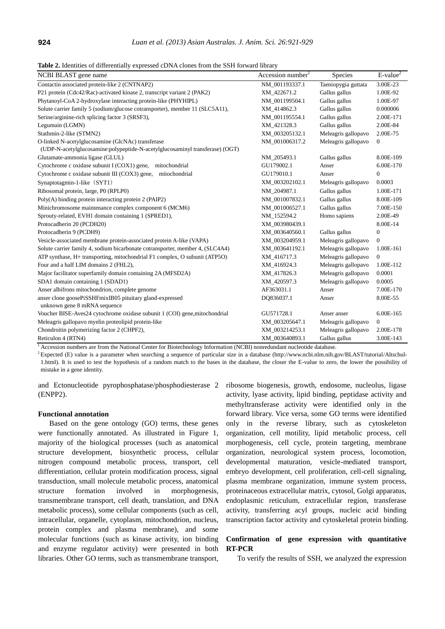**Table 2.** Identities of differentially expressed cDNA clones from the SSH forward library

| NCBI BLAST gene name                                                          | Accession number <sup>1</sup> | <b>Species</b>      | $E-value2$     |
|-------------------------------------------------------------------------------|-------------------------------|---------------------|----------------|
| Contactin associated protein-like 2 (CNTNAP2)                                 | NM_001193337.1                | Taeniopygia guttata | 3.00E-23       |
| P21 protein (Cdc42/Rac)-activated kinase 2, transcript variant 2 (PAK2)       | XM_422671.2                   | Gallus gallus       | 1.00E-92       |
| Phytanoyl-CoA 2-hydroxylase interacting protein-like (PHYHIPL)                | NM 001199504.1                | Gallus gallus       | 1.00E-97       |
| Solute carrier family 5 (sodium/glucose cotransporter), member 11 (SLC5A11),  | XM_414862.3                   | Gallus gallus       | 0.000006       |
| Serine/arginine-rich splicing factor 3 (SRSF3),                               | NM_001195554.1                | Gallus gallus       | 2.00E-171      |
| Legumain (LGMN)                                                               | XM_421328.3                   | Gallus gallus       | 2.00E-84       |
| Stathmin-2-like (STMN2)                                                       | XM_003205132.1                | Meleagris gallopavo | 2.00E-75       |
| O-linked N-acetylglucosamine (GlcNAc) transferase                             | NM_001006317.2                | Meleagris gallopavo | $\overline{0}$ |
| (UDP-N-acetylglucosamine:polypeptide-N-acetylglucosaminyl transferase) (OGT)  |                               |                     |                |
| Glutamate-ammonia ligase (GLUL)                                               | NM 205493.1                   | Gallus gallus       | 8.00E-109      |
| Cytochrome c oxidase subunit I (COX1) gene,<br>mitochondrial                  | GU179002.1                    | Anser               | 6.00E-170      |
| mitochondrial<br>Cytochrome c oxidase subunit III (COX3) gene,                | GU179010.1                    | Anser               | $\mathbf{0}$   |
| Synaptotagmin-1-like (SYT1)                                                   | XM_003202102.1                | Meleagris gallopavo | 0.0003         |
| Ribosomal protein, large, P0 (RPLP0)                                          | NM_204987.1                   | Gallus gallus       | 1.00E-171      |
| $Poly(A)$ binding protein interacting protein 2 (PAIP2)                       | NM_001007832.1                | Gallus gallus       | 8.00E-109      |
| Minichromosome maintenance complex component 6 (MCM6)                         | NM 001006527.1                | Gallus gallus       | 7.00E-150      |
| Sprouty-related, EVH1 domain containing 1 (SPRED1),                           | NM_152594.2                   | Homo sapiens        | 2.00E-49       |
| Protocadherin 20 (PCDH20)                                                     | XM_003980439.1                |                     | 8.00E-14       |
| Protocadherin 9 (PCDH9)                                                       | XM_003640560.1                | Gallus gallus       | 0              |
| Vesicle-associated membrane protein-associated protein A-like (VAPA)          | XM_003204959.1                | Meleagris gallopavo | $\mathbf{0}$   |
| Solute carrier family 4, sodium bicarbonate cotransporter, member 4, (SLC4A4) | XM 003641192.1                | Meleagris gallopavo | 1.00E-161      |
| ATP synthase, H+ transporting, mitochondrial F1 complex, O subunit (ATP5O)    | XM_416717.3                   | Meleagris gallopavo | $\overline{0}$ |
| Four and a half LIM domains 2 (FHL2),                                         | XM_416924.3                   | Meleagris gallopavo | 1.00E-112      |
| Major facilitator superfamily domain containing 2A (MFSD2A)                   | XM_417826.3                   | Meleagris gallopavo | 0.0001         |
| SDA1 domain containing 1 (SDAD1)                                              | XM_420597.3                   | Meleagris gallopavo | 0.0005         |
| Anser albifrons mitochondrion, complete genome                                | AF363031.1                    | Anser               | 7.00E-170      |
| anser clone goosePiSSHFmixIB05 pituitary gland-expressed                      | DQ836037.1                    | Anser               | 8.00E-55       |
| unknown gene 8 mRNA sequence                                                  |                               |                     |                |
| Voucher BISE-Aves24 cytochrome oxidase subunit 1 (COI) gene, mitochondrial    | GU571728.1                    | Anser anser         | 6.00E-165      |
| Meleagris gallopavo myelin proteolipid protein-like                           | XM_003205647.1                | Meleagris gallopavo | $\overline{0}$ |
| Chondroitin polymerizing factor 2 (CHPF2),                                    | XM_003214253.1                | Meleagris gallopavo | 2.00E-178      |
| Reticulon 4 (RTN4)                                                            | XM 003640893.1                | Gallus gallus       | 3.00E-143      |

<sup>1</sup> Accession numbers are from the National Center for Biotechnology Information (NCBI) nonredundant nucleotide database.

<sup>2</sup> Expected (E) value is a parameter when searching a sequence of particular size in a database (http://www.ncbi.nlm.nih.gov/BLAST/tutorial/Altschul-1.html). It is used to test the hypothesis of a random match to the bases in the database, the closer the E-value to zero, the lower the possibility of mistake in a gene identity.

and Ectonucleotide pyrophosphatase/phosphodiesterase 2 (ENPP2).

#### **Functional annotation**

Based on the gene ontology (GO) terms, these genes were functionally annotated. As illustrated in Figure 1, majority of the biological processes (such as anatomical structure development, biosynthetic process, cellular nitrogen compound metabolic process, transport, cell differentiation, cellular protein modification process, signal transduction, small molecule metabolic process, anatomical structure formation involved in morphogenesis, transmembrane transport, cell death, translation, and DNA metabolic process), some cellular components (such as cell, intracellular, organelle, cytoplasm, mitochondrion, nucleus, protein complex and plasma membrane), and some molecular functions (such as kinase activity, ion binding and enzyme regulator activity) were presented in both libraries. Other GO terms, such as transmembrane transport,

ribosome biogenesis, growth, endosome, nucleolus, ligase activity, lyase activity, lipid binding, peptidase activity and methyltransferase activity were identified only in the forward library. Vice versa, some GO terms were identified only in the reverse library, such as cytoskeleton organization, cell motility, lipid metabolic process, cell morphogenesis, cell cycle, protein targeting, membrane organization, neurological system process, locomotion, developmental maturation, vesicle-mediated transport, embryo development, cell proliferation, cell-cell signaling, plasma membrane organization, immune system process, proteinaceous extracellular matrix, cytosol, Golgi apparatus, endoplasmic reticulum, extracellular region, transferase activity, transferring acyl groups, nucleic acid binding transcription factor activity and cytoskeletal protein binding.

# **Confirmation of gene expression with quantitative RT-PCR**

To verify the results of SSH, we analyzed the expression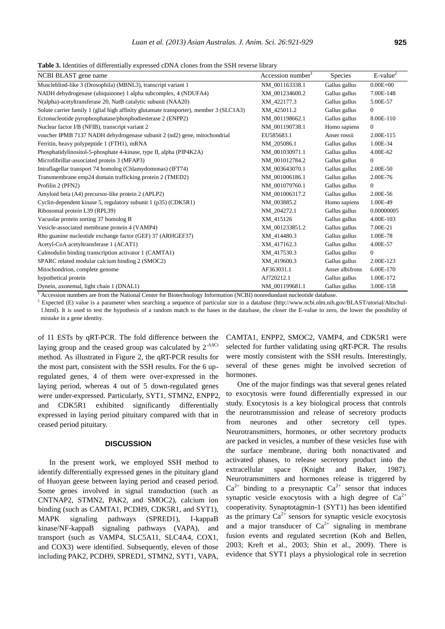**Table 3.** Identities of differentially expressed cDNA clones from the SSH reverse library

| NCBI BLAST gene name                                                                   | Accession number <sup>1</sup> | Species         | $E-value2$     |
|----------------------------------------------------------------------------------------|-------------------------------|-----------------|----------------|
| Muscleblind-like 3 (Drosophila) (MBNL3), transcript variant 1                          | NM 001163338.1                | Gallus gallus   | $0.00E + 00$   |
| NADH dehydrogenase (ubiquinone) 1 alpha subcomplex, 4 (NDUFA4)                         | XM 001234600.2                | Gallus gallus   | 7.00E-148      |
| N(alpha)-acetyltransferase 20, NatB catalytic subunit (NAA20)                          | XM 422177.3                   | Gallus gallus   | 5.00E-57       |
| Solute carrier family 1 (glial high affinity glutamate transporter), member 3 (SLC1A3) | XM 425011.2                   | Gallus gallus   | $\overline{0}$ |
| Ectonucleotide pyrophosphatase/phosphodiesterase 2 (ENPP2)                             | NM 001198662.1                | Gallus gallus   | 8.00E-110      |
| Nuclear factor I/B (NFIB), transcript variant 2                                        | NM 001190738.1                | Homo sapiens    | $\Omega$       |
| voucher IPMB 7137 NADH dehydrogenase subunit 2 (nd2) gene, mitochondrial               | EU585683.1                    | Anser rossii    | 2.00E-115      |
| Ferritin, heavy polypeptide 1 (FTH1), mRNA                                             | NM 205086.1                   | Gallus gallus   | 1.00E-34       |
| Phosphatidylinositol-5-phosphate 4-kinase, type II, alpha (PIP4K2A)                    | NM 001030971.1                | Gallus gallus   | 4.00E-62       |
| Microfibrillar-associated protein 3 (MFAP3)                                            | NM 001012784.2                | Gallus gallus   | $\overline{0}$ |
| Intraflagellar transport 74 homolog (Chlamydomonas) (IFT74)                            | XM 003643070.1                | Gallus gallus   | 2.00E-50       |
| Transmembrane emp24 domain trafficking protein 2 (TMED2)                               | NM 001006186.1                | Gallus gallus   | 2.00E-76       |
| Profilin 2 (PFN2)                                                                      | NM 001079760.1                | Gallus gallus   | $\Omega$       |
| Amyloid beta (A4) precursor-like protein 2 (APLP2)                                     | NM 001006317.2                | Gallus gallus   | 2.00E-56       |
| Cyclin-dependent kinase 5, regulatory subunit 1 (p35) (CDK5R1)                         | NM 003885.2                   | Homo sapiens    | 1.00E-49       |
| Ribosomal protein L39 (RPL39)                                                          | NM 204272.1                   | Gallus gallus   | 0.00000005     |
| Vacuolar protein sorting 37 homolog B                                                  | XM_415126                     | Gallus gallus   | 4.00E-103      |
| Vesicle-associated membrane protein 4 (VAMP4)                                          | XM 001233851.2                | Gallus gallus   | 7.00E-21       |
| Rho guanine nucleotide exchange factor (GEF) 37 (ARHGEF37)                             | XM_414480.3                   | Gallus gallus   | 1.00E-78       |
| Acetyl-CoA acetyltransferase 1 (ACAT1)                                                 | XM 417162.3                   | Gallus gallus   | 4.00E-57       |
| Calmodulin binding transcription activator 1 (CAMTA1)                                  | XM 417530.3                   | Gallus gallus   | $\overline{0}$ |
| SPARC related modular calcium binding 2 (SMOC2)                                        | XM 419600.3                   | Gallus gallus   | 2.00E-123      |
| Mitochondrion, complete genome                                                         | AF363031.1                    | Anser albifrons | 6.00E-170      |
| hypothetical protein                                                                   | AJ720212.1                    | Gallus gallus   | 1.00E-172      |
| Dynein, axonemal, light chain 1 (DNAL1)                                                | NM_001199681.1                | Gallus gallus   | 3.00E-158      |

<sup>1</sup> Accession numbers are from the National Center for Biotechnology Information (NCBI) nonredundant nucleotide database.

<sup>2</sup> Expected (E) value is a parameter when searching a sequence of particular size in a database (http://www.ncbi.nlm.nih.gov/BLAST/utorial/Altschul-1.html). It is used to test the hypothesis of a random match to the bases in the database, the closer the E-value to zero, the lower the possibility of mistake in a gene identity.

of 11 ESTs by qRT-PCR. The fold difference between the laying group and the ceased group was calculated by  $2^{-\Delta\Delta Ct}$ method. As illustrated in Figure 2, the qRT-PCR results for the most part, consistent with the SSH results. For the 6 upregulated genes, 4 of them were over-expressed in the laying period, whereas 4 out of 5 down-regulated genes were under-expressed. Particularly, SYT1, STMN2, ENPP2, and CDK5R1 exhibited significantly differentially expressed in laying period pituitary compared with that in ceased period pituitary.

### **DISCUSSION**

In the present work, we employed SSH method to identify differentially expressed genes in the pituitary gland of Huoyan geese between laying period and ceased period. Some genes involved in signal transduction (such as CNTNAP2, STMN2, PAK2, and SMOC2), calcium ion binding (such as CAMTA1, PCDH9, CDK5R1, and SYT1), MAPK signaling pathways (SPRED1), I-kappaB kinase/NF-kappaB signaling pathways (VAPA), and transport (such as VAMP4, SLC5A11, SLC4A4, COX1, and COX3) were identified. Subsequently, eleven of those including PAK2, PCDH9, SPRED1, STMN2, SYT1, VAPA, CAMTA1, ENPP2, SMOC2, VAMP4, and CDK5R1 were selected for further validating using qRT-PCR. The results were mostly consistent with the SSH results. Interestingly, several of these genes might be involved secretion of hormones.

One of the major findings was that several genes related to exocytosis were found differentially expressed in our study. Exocytosis is a key biological process that controls the neurotransmission and release of secretory products from neurones and other secretory cell types. Neurotransmitters, hormones, or other secretory products are packed in vesicles, a number of these vesicles fuse with the surface membrane, during both nonactivated and activated phases, to release secretory product into the extracellular space (Knight and Baker, 1987). Neurotransmitters and hormones release is triggered by  $Ca^{2+}$  binding to a presynaptic  $Ca^{2+}$  sensor that induces synaptic vesicle exocytosis with a high degree of  $Ca^{2+}$ cooperativity. Synaptotagmin-1 (SYT1) has been identified as the primary  $Ca^{2+}$  sensors for synaptic vesicle exocytosis and a major transducer of  $Ca^{2+}$  signaling in membrane fusion events and regulated secretion (Koh and Bellen, 2003; Kreft et al., 2003; Shin et al., 2009). There is evidence that SYT1 plays a physiological role in secretion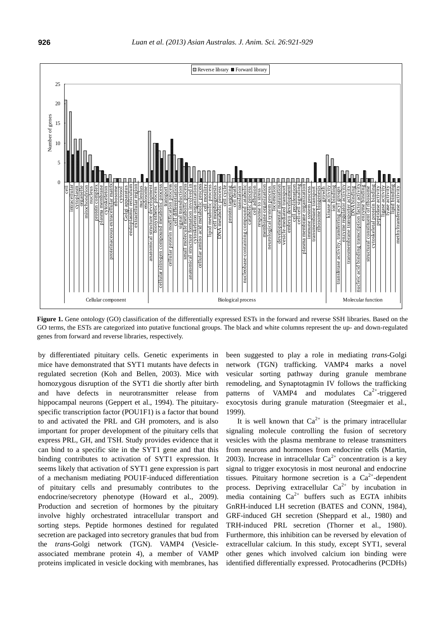

Figure 1. Gene ontology (GO) classification of the differentially expressed ESTs in the forward and reverse SSH libraries. Based on the GO terms, the ESTs are categorized into putative functional groups. The black and white columns represent the up- and down-regulated genes from forward and reverse libraries, respectively.

by differentiated pituitary cells. Genetic experiments in mice have demonstrated that SYT1 mutants have defects in regulated secretion (Koh and Bellen, 2003). Mice with homozygous disruption of the SYT1 die shortly after birth and have defects in neurotransmitter release from hippocampal neurons (Geppert et al., 1994). The pituitaryspecific transcription factor (POU1F1) is a factor that bound to and activated the PRL and GH promoters, and is also important for proper development of the pituitary cells that express PRL, GH, and TSH. Study provides evidence that it can bind to a specific site in the SYT1 gene and that this binding contributes to activation of SYT1 expression. It seems likely that activation of SYT1 gene expression is part of a mechanism mediating POU1F-induced differentiation of pituitary cells and presumably contributes to the endocrine/secretory phenotype (Howard et al., 2009). Production and secretion of hormones by the pituitary involve highly orchestrated intracellular transport and sorting steps. Peptide hormones destined for regulated secretion are packaged into secretory granules that bud from the *trans*-Golgi network (TGN). VAMP4 (Vesicleassociated membrane protein 4), a member of VAMP proteins implicated in vesicle docking with membranes, has

been suggested to play a role in mediating *trans*-Golgi network (TGN) trafficking. VAMP4 marks a novel vesicular sorting pathway during granule membrane remodeling, and Synaptotagmin IV follows the trafficking patterns of VAMP4 and modulates  $Ca^{2+}$ -triggered exocytosis during granule maturation (Steegmaier et al., 1999).

It is well known that  $Ca^{2+}$  is the primary intracellular signaling molecule controlling the fusion of secretory vesicles with the plasma membrane to release transmitters from neurons and hormones from endocrine cells (Martin, 2003). Increase in intracellular  $Ca^{2+}$  concentration is a key signal to trigger exocytosis in most neuronal and endocrine tissues. Pituitary hormone secretion is a  $Ca^{2+}$ -dependent process. Depriving extracellular  $Ca^{2+}$  by incubation in media containing  $Ca^{2+}$  buffers such as EGTA inhibits GnRH-induced LH secretion (BATES and CONN, 1984), GRF-induced GH secretion (Sheppard et al., 1980) and TRH-induced PRL secretion (Thorner et al., 1980). Furthermore, this inhibition can be reversed by elevation of extracellular calcium. In this study, except SYT1, several other genes which involved calcium ion binding were identified differentially expressed. Protocadherins (PCDHs)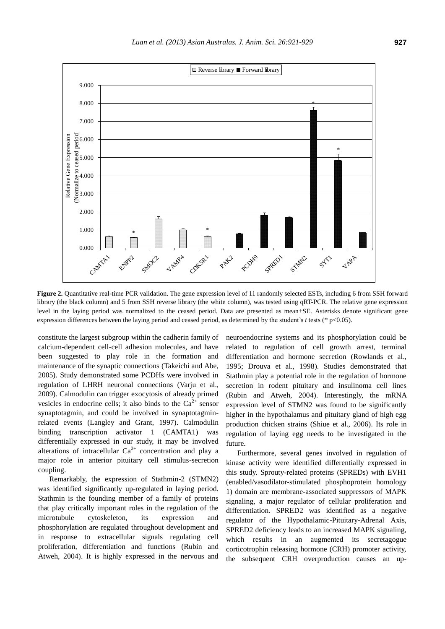

**Figure 2.** Quantitative real-time PCR validation. The gene expression level of 11 randomly selected ESTs, including 6 from SSH forward library (the black column) and 5 from SSH reverse library (the white column), was tested using qRT-PCR. The relative gene expression level in the laying period was normalized to the ceased period. Data are presented as mean±SE. Asterisks denote significant gene expression differences between the laying period and ceased period, as determined by the student's *t* tests (\* p<0.05).

constitute the largest subgroup within the cadherin family of calcium-dependent cell-cell adhesion molecules, and have been suggested to play role in the formation and maintenance of the synaptic connections (Takeichi and Abe, 2005). Study demonstrated some PCDHs were involved in regulation of LHRH neuronal connections (Varju et al., 2009). Calmodulin can trigger exocytosis of already primed vesicles in endocrine cells; it also binds to the  $Ca<sup>2+</sup>$  sensor synaptotagmin, and could be involved in synaptotagminrelated events (Langley and Grant, 1997). Calmodulin binding transcription activator 1 (CAMTA1) was differentially expressed in our study, it may be involved alterations of intracellular  $Ca^{2+}$  concentration and play a major role in anterior pituitary cell stimulus-secretion coupling.

Remarkably, the expression of Stathmin-2 (STMN2) was identified significantly up-regulated in laying period. Stathmin is the founding member of a family of proteins that play critically important roles in the regulation of the microtubule cytoskeleton, its expression and phosphorylation are regulated throughout development and in response to extracellular signals regulating cell proliferation, differentiation and functions (Rubin and Atweh, 2004). It is highly expressed in the nervous and neuroendocrine systems and its phosphorylation could be related to regulation of cell growth arrest, terminal differentiation and hormone secretion (Rowlands et al., 1995; Drouva et al., 1998). Studies demonstrated that Stathmin play a potential role in the regulation of hormone secretion in rodent pituitary and insulinoma cell lines (Rubin and Atweh, 2004). Interestingly, the mRNA expression level of STMN2 was found to be significantly higher in the hypothalamus and pituitary gland of high egg production chicken strains (Shiue et al., 2006). Its role in regulation of laying egg needs to be investigated in the future.

Furthermore, several genes involved in regulation of kinase activity were identified differentially expressed in this study. Sprouty-related proteins (SPREDs) with EVH1 (enabled/vasodilator-stimulated phosphoprotein homology 1) domain are membrane-associated suppressors of MAPK signaling, a major regulator of cellular proliferation and differentiation. SPRED2 was identified as a negative regulator of the Hypothalamic-Pituitary-Adrenal Axis, SPRED2 deficiency leads to an increased MAPK signaling, which results in an augmented its secretagogue corticotrophin releasing hormone (CRH) promoter activity, the subsequent CRH overproduction causes an up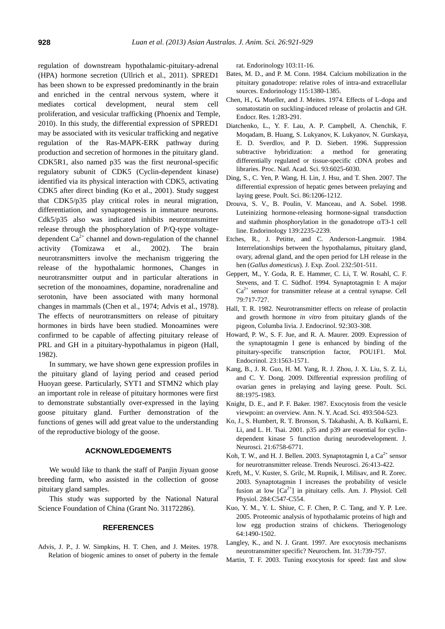regulation of downstream hypothalamic-pituitary-adrenal (HPA) hormone secretion (Ullrich et al., 2011). SPRED1 has been shown to be expressed predominantly in the brain and enriched in the central nervous system, where it mediates cortical development, neural stem cell proliferation, and vesicular trafficking (Phoenix and Temple, 2010). In this study, the differential expression of SPRED1 may be associated with its vesicular trafficking and negative regulation of the Ras-MAPK-ERK pathway during production and secretion of hormones in the pituitary gland. CDK5R1, also named p35 was the first neuronal-specific regulatory subunit of CDK5 (Cyclin-dependent kinase) identified via its physical interaction with CDK5, activating CDK5 after direct binding (Ko et al., 2001). Study suggest that CDK5/p35 play critical roles in neural migration, differentiation, and synaptogenesis in immature neurons. Cdk5/p35 also was indicated inhibits neurotransmitter release through the phosphorylation of P/Q-type voltagedependent  $Ca^{2+}$  channel and down-regulation of the channel activity (Tomizawa et al., 2002). The brain neurotransmitters involve the mechanism triggering the release of the hypothalamic hormones, Changes in neurotransmitter output and in particular alterations in secretion of the monoamines, dopamine, noradrenaline and serotonin, have been associated with many hormonal changes in mammals (Chen et al., 1974; Advis et al., 1978). The effects of neurotransmitters on release of pituitary hormones in birds have been studied. Monoamines were confirmed to be capable of affecting pituitary release of PRL and GH in a pituitary-hypothalamus in pigeon (Hall, 1982).

In summary, we have shown gene expression profiles in the pituitary gland of laying period and ceased period Huoyan geese. Particularly, SYT1 and STMN2 which play an important role in release of pituitary hormones were first to demonstrate substantially over-expressed in the laying goose pituitary gland. Further demonstration of the functions of genes will add great value to the understanding of the reproductive biology of the goose.

#### **ACKNOWLEDGEMENTS**

We would like to thank the staff of Panjin Jiyuan goose breeding farm, who assisted in the collection of goose pituitary gland samples.

This study was supported by the National Natural Science Foundation of China (Grant No. 31172286).

## **REFERENCES**

Advis, J. P., J. W. Simpkins, H. T. Chen, and J. Meites. 1978. Relation of biogenic amines to onset of puberty in the female rat. Endorinology 103:11-16.

- Bates, M. D., and P. M. Conn. 1984. Calcium mobilization in the pituitary gonadotrope: relative roles of intra-and extracellular sources. Endorinology 115:1380-1385.
- Chen, H., G. Mueller, and J. Meites. 1974. Effects of L-dopa and somatostatin on suckling-induced release of prolactin and GH. Endocr. Res. 1:283-291.
- Diatchenko, L., Y. F. Lau, A. P. Campbell, A. Chenchik, F. Moqadam, B. Huang, S. Lukyanov, K. Lukyanov, N. Gurskaya, E. D. Sverdlov, and P. D. Siebert. 1996. Suppression subtractive hybridization: a method for generating differentially regulated or tissue-specific cDNA probes and libraries. Proc. Natl. Acad. Sci. 93:6025-6030.
- Ding, S., C. Yen, P. Wang, H. Lin, J. Hsu, and T. Shen. 2007. The differential expression of hepatic genes between prelaying and laying geese. Poult. Sci. 86:1206-1212.
- Drouva, S. V., B. Poulin, V. Manceau, and A. Sobel. 1998. Luteinizing hormone-releasing hormone-signal transduction and stathmin phosphorylation in the gonadotrope  $\alpha$ T3-1 cell line. Endorinology 139:2235-2239.
- Etches, R., J. Petitte, and C. Anderson-Langmuir. 1984. Interrelationships between the hypothalamus, pituitary gland, ovary, adrenal gland, and the open period for LH release in the hen (*Gallus domesticus*). J. Exp. Zool. 232:501-511.
- Geppert, M., Y. Goda, R. E. Hammer, C. Li, T. W. Rosahl, C. F. Stevens, and T. C. Südhof. 1994. Synaptotagmin I: A major  $Ca<sup>2+</sup>$  sensor for transmitter release at a central synapse. Cell 79:717-727.
- Hall, T. R. 1982. Neurotransmitter effects on release of prolactin and growth hormone *in vitro* from pituitary glands of the pigeon, Columba livia. J. Endocrinol. 92:303-308.
- Howard, P. W., S. F. Jue, and R. A. Maurer. 2009. Expression of the synaptotagmin I gene is enhanced by binding of the pituitary-specific transcription factor, POU1F1. Mol. Endocrinol. 23:1563-1571.
- Kang, B., J. R. Guo, H. M. Yang, R. J. Zhou, J. X. Liu, S. Z. Li, and C. Y. Dong. 2009. Differential expression profiling of ovarian genes in prelaying and laying geese. Poult. Sci. 88:1975-1983.
- Knight, D. E., and P. F. Baker. 1987. Exocytosis from the vesicle viewpoint: an overview. Ann. N. Y. Acad. Sci. 493:504-523.
- Ko, J., S. Humbert, R. T. Bronson, S. Takahashi, A. B. Kulkarni, E. Li, and L. H. Tsai. 2001. p35 and p39 are essential for cyclindependent kinase 5 function during neurodevelopment. J. Neurosci. 21:6758-6771.
- Koh, T. W., and H. J. Bellen. 2003. Synaptotagmin I, a  $Ca^{2+}$  sensor for neurotransmitter release. Trends Neurosci. 26:413-422.
- Kreft, M., V. Kuster, S. Grilc, M. Rupnik, I. Milisav, and R. Zorec. 2003. Synaptotagmin I increases the probability of vesicle fusion at low  $[Ca^{2+}]$  in pituitary cells. Am. J. Physiol. Cell Physiol. 284:C547-C554.
- Kuo, Y. M., Y. L. Shiue, C. F. Chen, P. C. Tang, and Y. P. Lee. 2005. Proteomic analysis of hypothalamic proteins of high and low egg production strains of chickens. Theriogenology 64:1490-1502.
- Langley, K., and N. J. Grant. 1997. Are exocytosis mechanisms neurotransmitter specific? Neurochem. Int. 31:739-757.
- Martin, T. F. 2003. Tuning exocytosis for speed: fast and slow